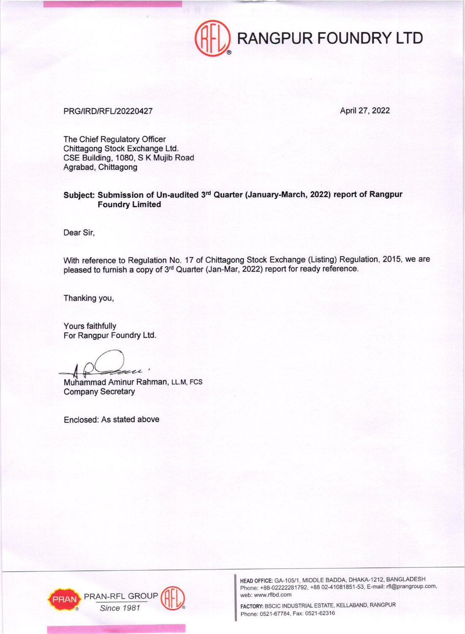

## PRG/IRD/RFL/20220427 April 27, 2022

The Chief Regulatory Officer Chittagong Stock Exchange Ltd. CSE Building, 1080, S K Mujib Road Agrabad, Chittagong

Subject: Submission of Un-audited 3rd Quarter (January-March, 2022) report of Rangpur Foundry Limited

Dear Sir,

With reference to Regulation No. 17 of Chittagong Stock Exchange (Listing) Regulation, 2015, we are pleased to furnish a copy of 3<sup>rd</sup> Quarter (Jan-Mar, 2022) report for ready reference.

Thanking you,

Yours faithfully For Rangpur Foundry Ltd

 $\overline{\phantom{a}}$ 

Muhammad Aminur Rahman, LL.M, FCS Company Secretary

Enclosed: As stated above



HEAD OFFICE: GA-105/1, MIDDLE BADDA, DHAKA-1212, BANGLADESH Phone: +88-02222281792, +88 02-41081851-53, E-mail: rfl@prangroup.com, web: www.rflbd,com

Since 1981 **CONTRIGUIRE & SCIC INDUSTRIAL ESTATE, KELLABAND, RANGPUR** Phone: 0521-67784, Fax: 0521-62316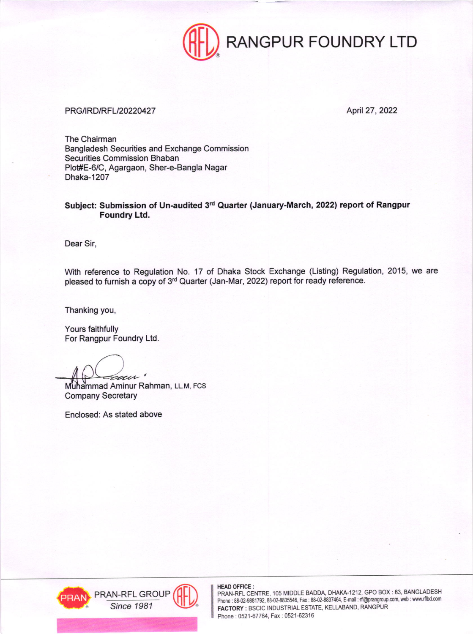

## PRG/IRD/RFL/20220427 April 27, 2022

The Chairman Bangladesh Securities and Exchange Commission Securities Commission Bhaban Plot#E-6/C, Agargaon, Sher-e-Bangla Nagar Dhaka-1207

## Subject: Submission of Un-audited 3rd Quarter (January-March, 2022) report of Rangpur Foundry Ltd.

Dear Sir,

With reference to Regulation No. 17 of Dhaka Stock Exchange (Listing) Regulation, 2015, we are pleased to furnish a copy of 3<sup>rd</sup> Quarter (Jan-Mar, 2022) report for ready reference.

Thanking you,

Yours faithfully For Rangpur Foundry Ltd.

au '

Muhammad Aminur Rahman, LL.M, FCS Company Secretary

Enclosed: As stated above



HEAD OFFICE:

PRAN-RFL CENTRE, 105 MIDDLE BADDA, DHAKA-1212, GPO BOX : 83, BANGLADESH Phone : 88-02-9881792, 88-02-8835546, Fax : 88-02-8837464, E-mail : rfl@prangroup.com, web : www.rflbd.com<br>FACTORY : BSCIC INDUSTRIAL ESTATE, KELLABAND, RANGPUR Phone: 0521-67784, Fax: 0521-62316